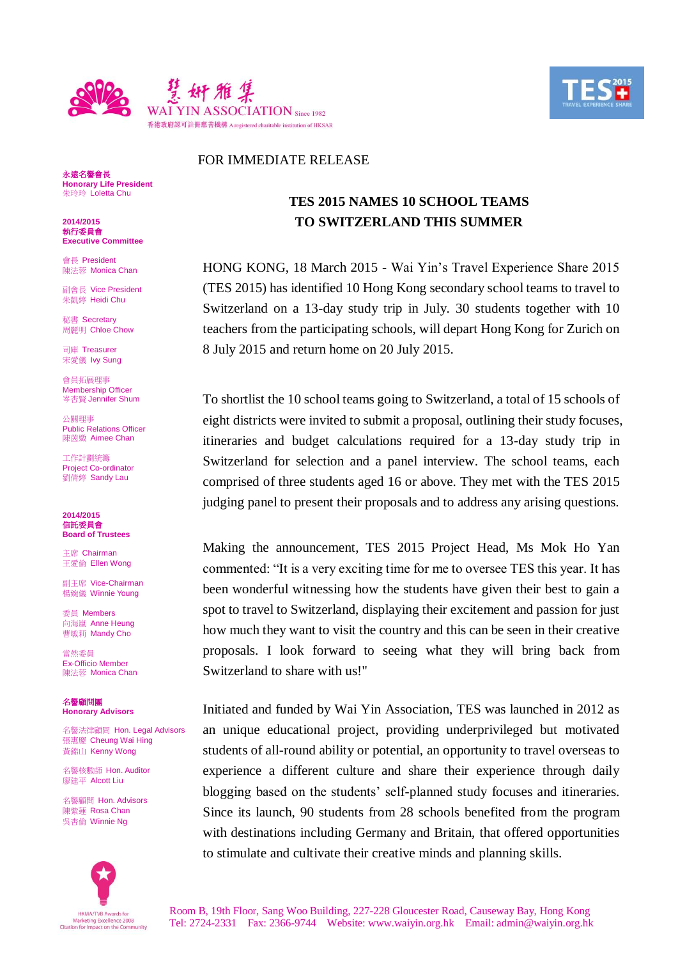



## i<br>L FOR IMMEDIATE RELEASE

永遠名譽會長 **Honorary Life President** 朱玲玲 Loletta Chu

**2014/2015** 執行委員會 **Executive Committee**

會長 President 陳法蓉 Monica Chan

副會長 Vice President 朱凱婷 Heidi Chu

秘書 Secretary 周麗明 Chloe Chow

司庫 Treasurer 宋愛儀 Ivy Sung

會員拓展理事 Membership Officer 岑杏賢 Jennifer Shum

公關理事 Public Relations Officer 陳茵媺 Aimee Chan

工作計劃統籌 Project Co-ordinator 劉倩婷 Sandy Lau

**2014/2015** 信託委員會 **Board of Trustees**

主席 Chairman 王愛倫 Ellen Wong

副主席 Vice-Chairman 楊婉儀 Winnie Young

委員 Members 向海嵐 Anne Heung **曹敏莉 Mandy Cho** 

當然委員 Ex-Officio Member 陳法蓉 Monica Chan

名譽顧問團 **Honorary Advisors**

名譽法律顧問 Hon. Legal Advisors 張惠慶 Cheung Wai Hing 黃錦山 Kenny Wong

名譽核數師 Hon. Auditor 廖建平 Alcott Liu

名譽顧問 Hon. Advisors 陳紫蓮 Rosa Chan 吳杏倫 Winnie Ng



## **TES 2015 NAMES 10 SCHOOL TEAMS TO SWITZERLAND THIS SUMMER**

HONG KONG, 18 March 2015 - Wai Yin's Travel Experience Share 2015 (TES 2015) has identified 10 Hong Kong secondary school teams to travel to Switzerland on a 13-day study trip in July. 30 students together with 10 teachers from the participating schools, will depart Hong Kong for Zurich on 8 July 2015 and return home on 20 July 2015.

To shortlist the 10 school teams going to Switzerland, a total of 15 schools of eight districts were invited to submit a proposal, outlining their study focuses, itineraries and budget calculations required for a 13-day study trip in Switzerland for selection and a panel interview. The school teams, each comprised of three students aged 16 or above. They met with the TES 2015 judging panel to present their proposals and to address any arising questions.

Making the announcement, TES 2015 Project Head, Ms Mok Ho Yan commented: "It is a very exciting time for me to oversee TES this year. It has been wonderful witnessing how the students have given their best to gain a spot to travel to Switzerland, displaying their excitement and passion for just how much they want to visit the country and this can be seen in their creative proposals. I look forward to seeing what they will bring back from Switzerland to share with us!"

Initiated and funded by Wai Yin Association, TES was launched in 2012 as an unique educational project, providing underprivileged but motivated students of all-round ability or potential, an opportunity to travel overseas to experience a different culture and share their experience through daily blogging based on the students' self-planned study focuses and itineraries. Since its launch, 90 students from 28 schools benefited from the program with destinations including Germany and Britain, that offered opportunities to stimulate and cultivate their creative minds and planning skills.

Room B, 19th Floor, Sang Woo Building, 227-228 Gloucester Road, Causeway Bay, Hong Kong Tel: 2724-2331 Fax: 2366-9744 Website: www.waiyin.org.hk Email: admin@waiyin.org.hk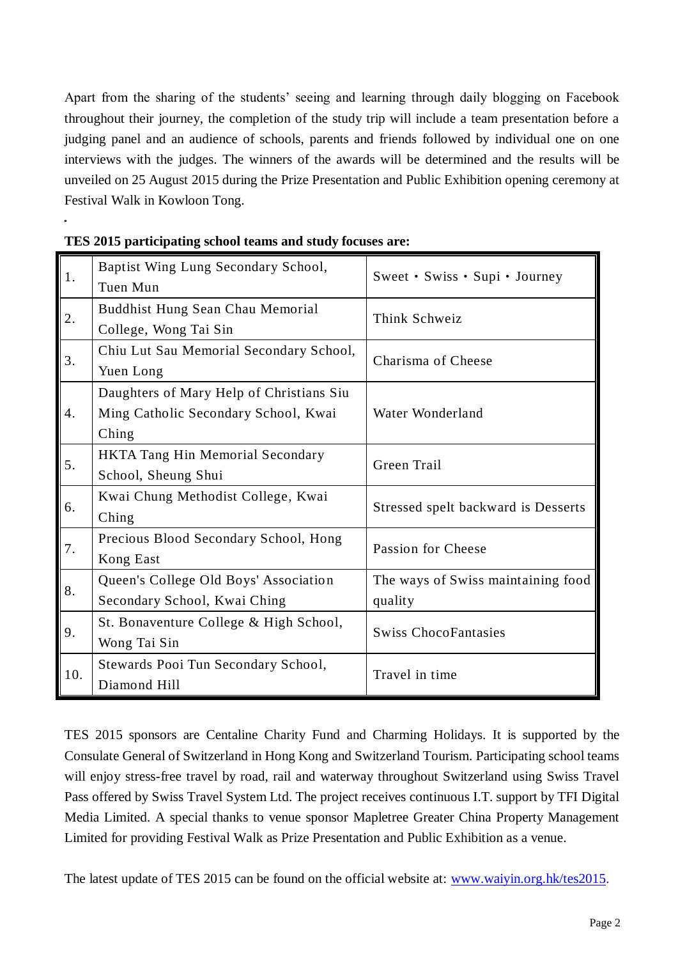Apart from the sharing of the students' seeing and learning through daily blogging on Facebook throughout their journey, the completion of the study trip will include a team presentation before a judging panel and an audience of schools, parents and friends followed by individual one on one interviews with the judges. The winners of the awards will be determined and the results will be unveiled on 25 August 2015 during the Prize Presentation and Public Exhibition opening ceremony at Festival Walk in Kowloon Tong.

| 1.               | Baptist Wing Lung Secondary School,<br>Tuen Mun                                           | Sweet • Swiss • Supi • Journey                |
|------------------|-------------------------------------------------------------------------------------------|-----------------------------------------------|
| 2.               | Buddhist Hung Sean Chau Memorial<br>College, Wong Tai Sin                                 | Think Schweiz                                 |
| 3.               | Chiu Lut Sau Memorial Secondary School,<br>Yuen Long                                      | Charisma of Cheese                            |
| $\overline{4}$ . | Daughters of Mary Help of Christians Siu<br>Ming Catholic Secondary School, Kwai<br>Ching | Water Wonderland                              |
| 5.               | HKTA Tang Hin Memorial Secondary<br>School, Sheung Shui                                   | Green Trail                                   |
| 6.               | Kwai Chung Methodist College, Kwai<br>Ching                                               | Stressed spelt backward is Desserts           |
| 7.               | Precious Blood Secondary School, Hong<br>Kong East                                        | Passion for Cheese                            |
| 8.               | Queen's College Old Boys' Association<br>Secondary School, Kwai Ching                     | The ways of Swiss maintaining food<br>quality |
| 9.               | St. Bonaventure College & High School,<br>Wong Tai Sin                                    | <b>Swiss ChocoFantasies</b>                   |
| 10.              | Stewards Pooi Tun Secondary School,<br>Diamond Hill                                       | Travel in time                                |

TES 2015 sponsors are Centaline Charity Fund and Charming Holidays. It is supported by the Consulate General of Switzerland in Hong Kong and Switzerland Tourism. Participating school teams will enjoy stress-free travel by road, rail and waterway throughout Switzerland using Swiss Travel Pass offered by Swiss Travel System Ltd. The project receives continuous I.T. support by TFI Digital Media Limited. A special thanks to venue sponsor Mapletree Greater China Property Management Limited for providing Festival Walk as Prize Presentation and Public Exhibition as a venue.

The latest update of TES 2015 can be found on the official website at: [www.waiyin.org.hk/tes2015.](http://www.google.com/url?q=http%3A%2F%2Fwww.waiyin.org.hk%2Ftes2015&sa=D&sntz=1&usg=AFQjCNGekt-Qx4XNvbPPK5w7r-6z8b5EQA)